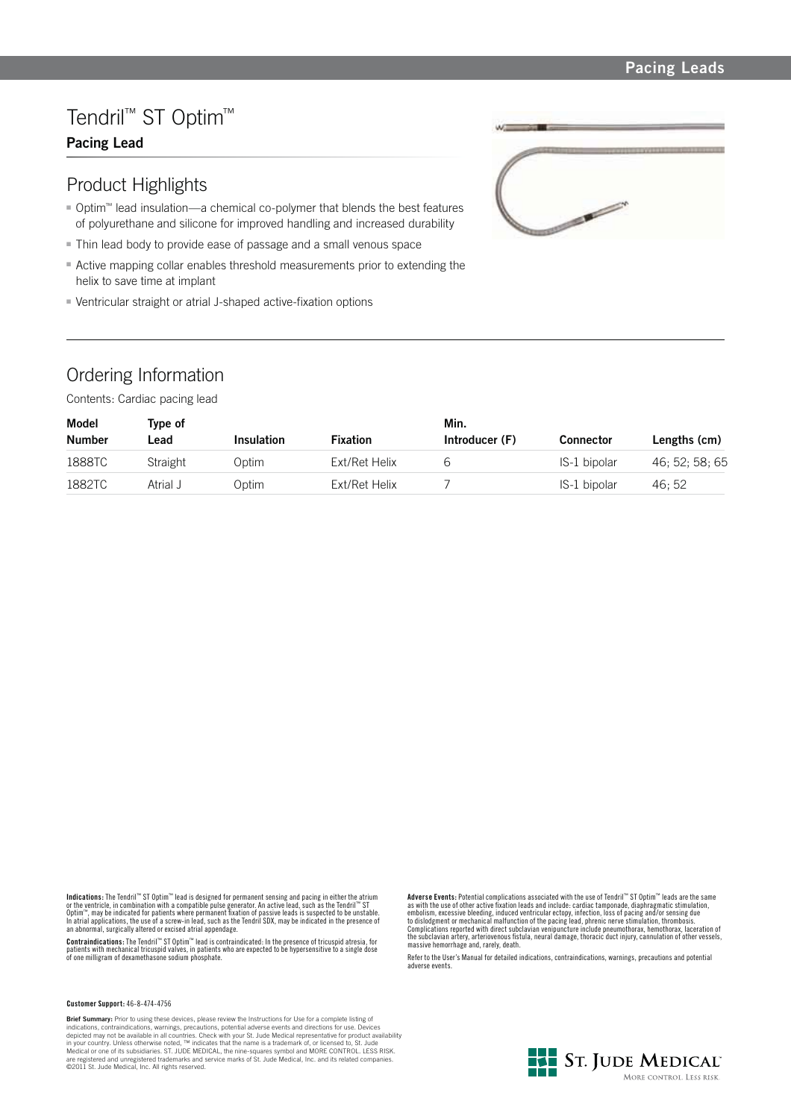### **Pacing Leads**

# Tendril™ ST Optim™

### **Pacing Lead**

## Product Highlights

- Optim<sup>™</sup> lead insulation—a chemical co-polymer that blends the best features of polyurethane and silicone for improved handling and increased durability
- Thin lead body to provide ease of passage and a small venous space
- Active mapping collar enables threshold measurements prior to extending the helix to save time at implant
- Ventricular straight or atrial J-shaped active-fixation options

## Ordering Information

Contents: Cardiac pacing lead



| Model         | Type of  |                   |                 | Min.           |                  |                |
|---------------|----------|-------------------|-----------------|----------------|------------------|----------------|
| <b>Number</b> | _ead     | <b>Insulation</b> | <b>Fixation</b> | Introducer (F) | <b>Connector</b> | Lengths (cm)   |
| 1888TC        | Straight | Optim             | Ext/Ret Helix   |                | IS-1 bipolar     | 46: 52: 58: 65 |
| 1882TC        | Atrial J | Optim             | Ext/Ret Helix   |                | IS-1 bipolar     | 46: 52         |

Indications: The Fendril™ ST Optim™ lead is designed for permanent sensing and pacing in either the atrium<br>or the ventricle, in combination with a compatible pulse generator. An active lead, such as the Tendril™ ST<br>Optim™,

**Contraindications:** The Tendril'" ST Optim'" lead is contraindicated: In the presence of tricuspid atresia, for<br>patients with mechanical tricuspid valves, in patients who are expected to be hypersensitive to a single dose

**Customer Support:** 46-8-474-4756

**Brief Summary:** Prior to using these devices, please review the Instructions for Use for a complete listing of<br>indications, contraindcations, warnings, precautions, potential adverse events and directions for use. Devices

**Adverse Events:** Potential complications associated with the use of Tendril™ ST Optim™ leads are the same as with the use of other active fixation leads and include: cardiac tamponade, diaphragmatic stimulation,<br>embolism, excessive bleeding, induced ventricular ectopy, infection, loss of pacing and/or sensing due<br>to dislodgmen massive hemorrhage and, rarely, death.

Refer to the User's Manual for detailed indications, contraindications, warnings, precautions and potential adverse events.